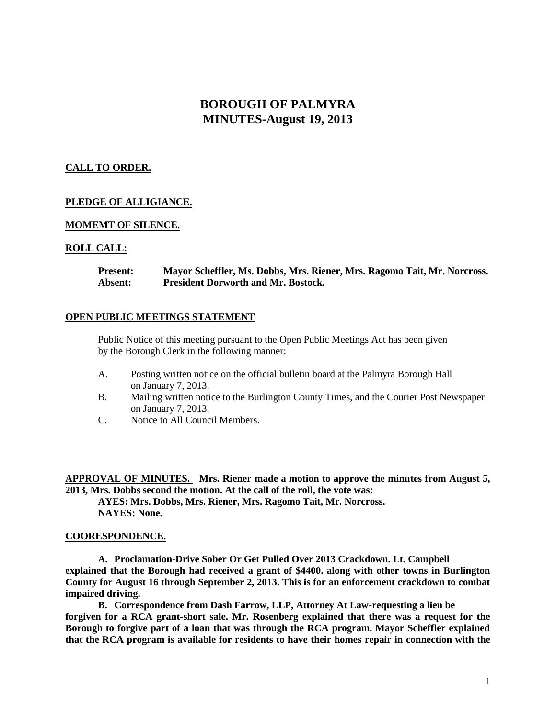# **BOROUGH OF PALMYRA MINUTES-August 19, 2013**

# **CALL TO ORDER.**

# **PLEDGE OF ALLIGIANCE.**

# **MOMEMT OF SILENCE.**

#### **ROLL CALL:**

**Present: Mayor Scheffler, Ms. Dobbs, Mrs. Riener, Mrs. Ragomo Tait, Mr. Norcross. Absent: President Dorworth and Mr. Bostock.**

#### **OPEN PUBLIC MEETINGS STATEMENT**

Public Notice of this meeting pursuant to the Open Public Meetings Act has been given by the Borough Clerk in the following manner:

- A. Posting written notice on the official bulletin board at the Palmyra Borough Hall on January 7, 2013.
- B. Mailing written notice to the Burlington County Times, and the Courier Post Newspaper on January 7, 2013.
- C. Notice to All Council Members.

**APPROVAL OF MINUTES. Mrs. Riener made a motion to approve the minutes from August 5, 2013, Mrs. Dobbs second the motion. At the call of the roll, the vote was:**

**AYES: Mrs. Dobbs, Mrs. Riener, Mrs. Ragomo Tait, Mr. Norcross. NAYES: None.**

#### **COORESPONDENCE.**

**A. Proclamation-Drive Sober Or Get Pulled Over 2013 Crackdown. Lt. Campbell explained that the Borough had received a grant of \$4400. along with other towns in Burlington County for August 16 through September 2, 2013. This is for an enforcement crackdown to combat impaired driving.** 

**B. Correspondence from Dash Farrow, LLP, Attorney At Law-requesting a lien be forgiven for a RCA grant-short sale. Mr. Rosenberg explained that there was a request for the Borough to forgive part of a loan that was through the RCA program. Mayor Scheffler explained that the RCA program is available for residents to have their homes repair in connection with the**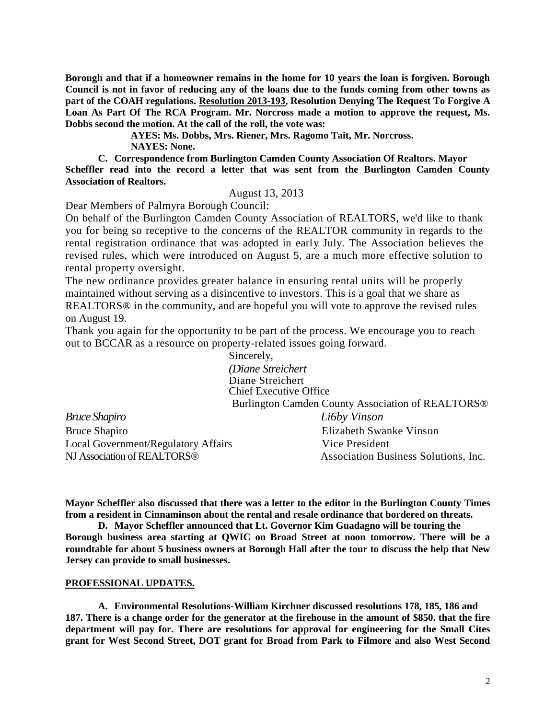**Borough and that if a homeowner remains in the home for 10 years the loan is forgiven. Borough Council is not in favor of reducing any of the loans due to the funds coming from other towns as part of the COAH regulations. Resolution 2013-193, Resolution Denying The Request To Forgive A Loan As Part Of The RCA Program. Mr. Norcross made a motion to approve the request, Ms. Dobbs second the motion. At the call of the roll, the vote was:**

> **AYES: Ms. Dobbs, Mrs. Riener, Mrs. Ragomo Tait, Mr. Norcross. NAYES: None.**

**C. Correspondence from Burlington Camden County Association Of Realtors. Mayor Scheffler read into the record a letter that was sent from the Burlington Camden County Association of Realtors.** 

#### August 13, 2013

Dear Members of Palmyra Borough Council:

On behalf of the Burlington Camden County Association of REALTORS, we'd like to thank you for being so receptive to the concerns of the REALTOR community in regards to the rental registration ordinance that was adopted in early July. The Association believes the revised rules, which were introduced on August 5, are a much more effective solution to rental property oversight.

The new ordinance provides greater balance in ensuring rental units will be properly maintained without serving as a disincentive to investors. This is a goal that we share as REALTORS® in the community, and are hopeful you will vote to approve the revised rules on August 19.

Thank you again for the opportunity to be part of the process. We encourage you to reach out to BCCAR as a resource on property-related issues going forward.

Sincerely, *(Diane Streichert* Diane Streichert Chief Executive Office Burlington Camden County Association of REALTORS® *Bruce Shapiro Li6by Vinson* Bruce Shapiro Elizabeth Swanke Vinson Local Government/Regulatory Affairs Vice President NJ Association of REALTORS<sup>®</sup> Association Business Solutions, Inc.

**Mayor Scheffler also discussed that there was a letter to the editor in the Burlington County Times from a resident in Cinnaminson about the rental and resale ordinance that bordered on threats.** 

**D. Mayor Scheffler announced that Lt. Governor Kim Guadagno will be touring the Borough business area starting at QWIC on Broad Street at noon tomorrow. There will be a roundtable for about 5 business owners at Borough Hall after the tour to discuss the help that New Jersey can provide to small businesses.** 

# **PROFESSIONAL UPDATES.**

**A. Environmental Resolutions-William Kirchner discussed resolutions 178, 185, 186 and 187. There is a change order for the generator at the firehouse in the amount of \$850. that the fire department will pay for. There are resolutions for approval for engineering for the Small Cites grant for West Second Street, DOT grant for Broad from Park to Filmore and also West Second**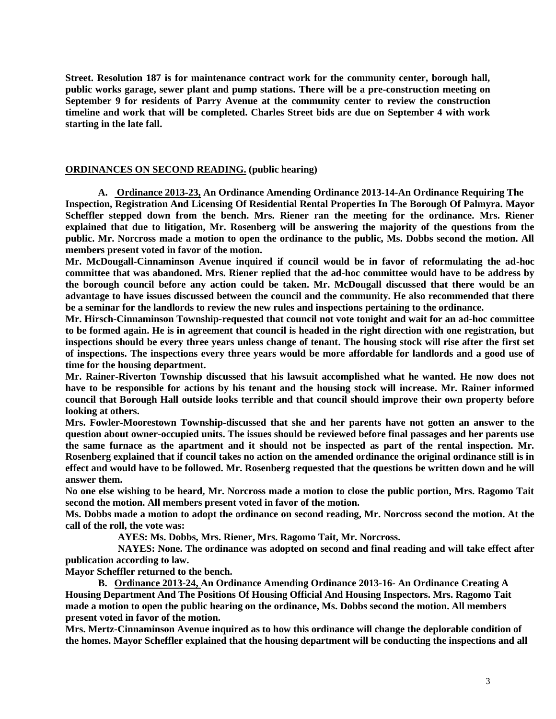**Street. Resolution 187 is for maintenance contract work for the community center, borough hall, public works garage, sewer plant and pump stations. There will be a pre-construction meeting on September 9 for residents of Parry Avenue at the community center to review the construction timeline and work that will be completed. Charles Street bids are due on September 4 with work starting in the late fall.** 

# **ORDINANCES ON SECOND READING. (public hearing)**

**A. Ordinance 2013-23, An Ordinance Amending Ordinance 2013-14-An Ordinance Requiring The Inspection, Registration And Licensing Of Residential Rental Properties In The Borough Of Palmyra. Mayor Scheffler stepped down from the bench. Mrs. Riener ran the meeting for the ordinance. Mrs. Riener explained that due to litigation, Mr. Rosenberg will be answering the majority of the questions from the public. Mr. Norcross made a motion to open the ordinance to the public, Ms. Dobbs second the motion. All members present voted in favor of the motion.**

**Mr. McDougall-Cinnaminson Avenue inquired if council would be in favor of reformulating the ad-hoc committee that was abandoned. Mrs. Riener replied that the ad-hoc committee would have to be address by the borough council before any action could be taken. Mr. McDougall discussed that there would be an advantage to have issues discussed between the council and the community. He also recommended that there be a seminar for the landlords to review the new rules and inspections pertaining to the ordinance.** 

**Mr. Hirsch-Cinnaminson Township-requested that council not vote tonight and wait for an ad-hoc committee to be formed again. He is in agreement that council is headed in the right direction with one registration, but inspections should be every three years unless change of tenant. The housing stock will rise after the first set of inspections. The inspections every three years would be more affordable for landlords and a good use of time for the housing department.** 

**Mr. Rainer-Riverton Township discussed that his lawsuit accomplished what he wanted. He now does not have to be responsible for actions by his tenant and the housing stock will increase. Mr. Rainer informed council that Borough Hall outside looks terrible and that council should improve their own property before looking at others.** 

**Mrs. Fowler-Moorestown Township-discussed that she and her parents have not gotten an answer to the question about owner-occupied units. The issues should be reviewed before final passages and her parents use the same furnace as the apartment and it should not be inspected as part of the rental inspection. Mr. Rosenberg explained that if council takes no action on the amended ordinance the original ordinance still is in effect and would have to be followed. Mr. Rosenberg requested that the questions be written down and he will answer them.** 

**No one else wishing to be heard, Mr. Norcross made a motion to close the public portion, Mrs. Ragomo Tait second the motion. All members present voted in favor of the motion.** 

**Ms. Dobbs made a motion to adopt the ordinance on second reading, Mr. Norcross second the motion. At the call of the roll, the vote was:**

 **AYES: Ms. Dobbs, Mrs. Riener, Mrs. Ragomo Tait, Mr. Norcross.**

 **NAYES: None. The ordinance was adopted on second and final reading and will take effect after publication according to law.** 

**Mayor Scheffler returned to the bench.**

**B. Ordinance 2013-24, An Ordinance Amending Ordinance 2013-16- An Ordinance Creating A Housing Department And The Positions Of Housing Official And Housing Inspectors. Mrs. Ragomo Tait made a motion to open the public hearing on the ordinance, Ms. Dobbs second the motion. All members present voted in favor of the motion.** 

**Mrs. Mertz-Cinnaminson Avenue inquired as to how this ordinance will change the deplorable condition of the homes. Mayor Scheffler explained that the housing department will be conducting the inspections and all**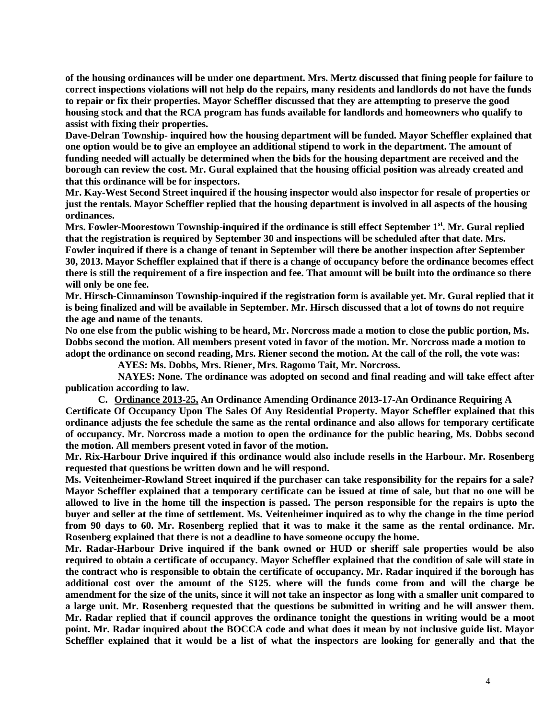**of the housing ordinances will be under one department. Mrs. Mertz discussed that fining people for failure to correct inspections violations will not help do the repairs, many residents and landlords do not have the funds to repair or fix their properties. Mayor Scheffler discussed that they are attempting to preserve the good housing stock and that the RCA program has funds available for landlords and homeowners who qualify to assist with fixing their properties.** 

**Dave-Delran Township- inquired how the housing department will be funded. Mayor Scheffler explained that one option would be to give an employee an additional stipend to work in the department. The amount of funding needed will actually be determined when the bids for the housing department are received and the borough can review the cost. Mr. Gural explained that the housing official position was already created and that this ordinance will be for inspectors.** 

**Mr. Kay-West Second Street inquired if the housing inspector would also inspector for resale of properties or just the rentals. Mayor Scheffler replied that the housing department is involved in all aspects of the housing ordinances.** 

**Mrs. Fowler-Moorestown Township-inquired if the ordinance is still effect September 1st . Mr. Gural replied that the registration is required by September 30 and inspections will be scheduled after that date. Mrs. Fowler inquired if there is a change of tenant in September will there be another inspection after September 30, 2013. Mayor Scheffler explained that if there is a change of occupancy before the ordinance becomes effect there is still the requirement of a fire inspection and fee. That amount will be built into the ordinance so there will only be one fee.** 

**Mr. Hirsch-Cinnaminson Township-inquired if the registration form is available yet. Mr. Gural replied that it is being finalized and will be available in September. Mr. Hirsch discussed that a lot of towns do not require the age and name of the tenants.** 

**No one else from the public wishing to be heard, Mr. Norcross made a motion to close the public portion, Ms. Dobbs second the motion. All members present voted in favor of the motion. Mr. Norcross made a motion to adopt the ordinance on second reading, Mrs. Riener second the motion. At the call of the roll, the vote was:**

 **AYES: Ms. Dobbs, Mrs. Riener, Mrs. Ragomo Tait, Mr. Norcross.**

 **NAYES: None. The ordinance was adopted on second and final reading and will take effect after publication according to law.**

**C. Ordinance 2013-25, An Ordinance Amending Ordinance 2013-17-An Ordinance Requiring A Certificate Of Occupancy Upon The Sales Of Any Residential Property. Mayor Scheffler explained that this ordinance adjusts the fee schedule the same as the rental ordinance and also allows for temporary certificate of occupancy. Mr. Norcross made a motion to open the ordinance for the public hearing, Ms. Dobbs second the motion. All members present voted in favor of the motion.**

**Mr. Rix-Harbour Drive inquired if this ordinance would also include resells in the Harbour. Mr. Rosenberg requested that questions be written down and he will respond.** 

**Ms. Veitenheimer-Rowland Street inquired if the purchaser can take responsibility for the repairs for a sale? Mayor Scheffler explained that a temporary certificate can be issued at time of sale, but that no one will be allowed to live in the home till the inspection is passed. The person responsible for the repairs is upto the buyer and seller at the time of settlement. Ms. Veitenheimer inquired as to why the change in the time period from 90 days to 60. Mr. Rosenberg replied that it was to make it the same as the rental ordinance. Mr. Rosenberg explained that there is not a deadline to have someone occupy the home.** 

**Mr. Radar-Harbour Drive inquired if the bank owned or HUD or sheriff sale properties would be also required to obtain a certificate of occupancy. Mayor Scheffler explained that the condition of sale will state in the contract who is responsible to obtain the certificate of occupancy. Mr. Radar inquired if the borough has additional cost over the amount of the \$125. where will the funds come from and will the charge be amendment for the size of the units, since it will not take an inspector as long with a smaller unit compared to a large unit. Mr. Rosenberg requested that the questions be submitted in writing and he will answer them. Mr. Radar replied that if council approves the ordinance tonight the questions in writing would be a moot point. Mr. Radar inquired about the BOCCA code and what does it mean by not inclusive guide list. Mayor Scheffler explained that it would be a list of what the inspectors are looking for generally and that the**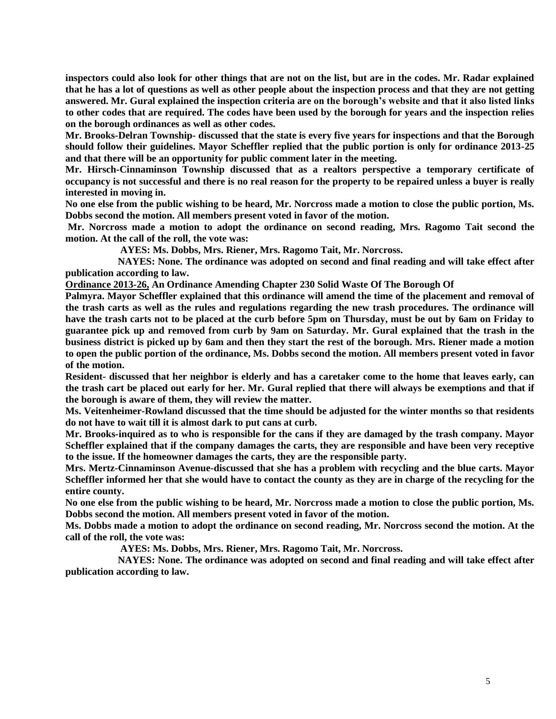**inspectors could also look for other things that are not on the list, but are in the codes. Mr. Radar explained that he has a lot of questions as well as other people about the inspection process and that they are not getting answered. Mr. Gural explained the inspection criteria are on the borough's website and that it also listed links to other codes that are required. The codes have been used by the borough for years and the inspection relies on the borough ordinances as well as other codes.** 

**Mr. Brooks-Delran Township- discussed that the state is every five years for inspections and that the Borough should follow their guidelines. Mayor Scheffler replied that the public portion is only for ordinance 2013-25 and that there will be an opportunity for public comment later in the meeting.**

**Mr. Hirsch-Cinnaminson Township discussed that as a realtors perspective a temporary certificate of occupancy is not successful and there is no real reason for the property to be repaired unless a buyer is really interested in moving in.** 

**No one else from the public wishing to be heard, Mr. Norcross made a motion to close the public portion, Ms. Dobbs second the motion. All members present voted in favor of the motion.** 

**Mr. Norcross made a motion to adopt the ordinance on second reading, Mrs. Ragomo Tait second the motion. At the call of the roll, the vote was:**

 **AYES: Ms. Dobbs, Mrs. Riener, Mrs. Ragomo Tait, Mr. Norcross.**

 **NAYES: None. The ordinance was adopted on second and final reading and will take effect after publication according to law.** 

**Ordinance 2013-26, An Ordinance Amending Chapter 230 Solid Waste Of The Borough Of**

**Palmyra. Mayor Scheffler explained that this ordinance will amend the time of the placement and removal of the trash carts as well as the rules and regulations regarding the new trash procedures. The ordinance will have the trash carts not to be placed at the curb before 5pm on Thursday, must be out by 6am on Friday to guarantee pick up and removed from curb by 9am on Saturday. Mr. Gural explained that the trash in the business district is picked up by 6am and then they start the rest of the borough. Mrs. Riener made a motion to open the public portion of the ordinance, Ms. Dobbs second the motion. All members present voted in favor of the motion.** 

**Resident- discussed that her neighbor is elderly and has a caretaker come to the home that leaves early, can the trash cart be placed out early for her. Mr. Gural replied that there will always be exemptions and that if the borough is aware of them, they will review the matter.** 

**Ms. Veitenheimer-Rowland discussed that the time should be adjusted for the winter months so that residents do not have to wait till it is almost dark to put cans at curb.** 

**Mr. Brooks-inquired as to who is responsible for the cans if they are damaged by the trash company. Mayor Scheffler explained that if the company damages the carts, they are responsible and have been very receptive to the issue. If the homeowner damages the carts, they are the responsible party.** 

**Mrs. Mertz-Cinnaminson Avenue-discussed that she has a problem with recycling and the blue carts. Mayor Scheffler informed her that she would have to contact the county as they are in charge of the recycling for the entire county.**

**No one else from the public wishing to be heard, Mr. Norcross made a motion to close the public portion, Ms. Dobbs second the motion. All members present voted in favor of the motion.**

**Ms. Dobbs made a motion to adopt the ordinance on second reading, Mr. Norcross second the motion. At the call of the roll, the vote was:**

 **AYES: Ms. Dobbs, Mrs. Riener, Mrs. Ragomo Tait, Mr. Norcross.**

 **NAYES: None. The ordinance was adopted on second and final reading and will take effect after publication according to law.**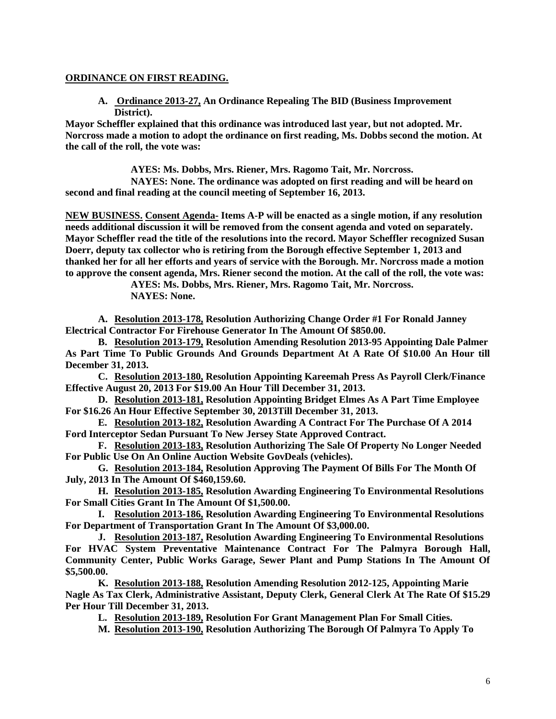# **ORDINANCE ON FIRST READING.**

**A. Ordinance 2013-27, An Ordinance Repealing The BID (Business Improvement District).**

**Mayor Scheffler explained that this ordinance was introduced last year, but not adopted. Mr. Norcross made a motion to adopt the ordinance on first reading, Ms. Dobbs second the motion. At the call of the roll, the vote was:**

**AYES: Ms. Dobbs, Mrs. Riener, Mrs. Ragomo Tait, Mr. Norcross.**

 **NAYES: None. The ordinance was adopted on first reading and will be heard on second and final reading at the council meeting of September 16, 2013.**

**NEW BUSINESS. Consent Agenda- Items A-P will be enacted as a single motion, if any resolution needs additional discussion it will be removed from the consent agenda and voted on separately. Mayor Scheffler read the title of the resolutions into the record. Mayor Scheffler recognized Susan Doerr, deputy tax collector who is retiring from the Borough effective September 1, 2013 and thanked her for all her efforts and years of service with the Borough. Mr. Norcross made a motion to approve the consent agenda, Mrs. Riener second the motion. At the call of the roll, the vote was:**

**AYES: Ms. Dobbs, Mrs. Riener, Mrs. Ragomo Tait, Mr. Norcross. NAYES: None.**

**A. Resolution 2013-178, Resolution Authorizing Change Order #1 For Ronald Janney Electrical Contractor For Firehouse Generator In The Amount Of \$850.00.**

**B. Resolution 2013-179, Resolution Amending Resolution 2013-95 Appointing Dale Palmer As Part Time To Public Grounds And Grounds Department At A Rate Of \$10.00 An Hour till December 31, 2013.**

**C. Resolution 2013-180, Resolution Appointing Kareemah Press As Payroll Clerk/Finance Effective August 20, 2013 For \$19.00 An Hour Till December 31, 2013.**

**D. Resolution 2013-181, Resolution Appointing Bridget Elmes As A Part Time Employee For \$16.26 An Hour Effective September 30, 2013Till December 31, 2013.**

**E. Resolution 2013-182, Resolution Awarding A Contract For The Purchase Of A 2014 Ford Interceptor Sedan Pursuant To New Jersey State Approved Contract.**

**F. Resolution 2013-183, Resolution Authorizing The Sale Of Property No Longer Needed For Public Use On An Online Auction Website GovDeals (vehicles).** 

**G. Resolution 2013-184, Resolution Approving The Payment Of Bills For The Month Of July, 2013 In The Amount Of \$460,159.60.**

**H. Resolution 2013-185, Resolution Awarding Engineering To Environmental Resolutions For Small Cities Grant In The Amount Of \$1,500.00.** 

**I. Resolution 2013-186, Resolution Awarding Engineering To Environmental Resolutions For Department of Transportation Grant In The Amount Of \$3,000.00.**

**J. Resolution 2013-187, Resolution Awarding Engineering To Environmental Resolutions For HVAC System Preventative Maintenance Contract For The Palmyra Borough Hall, Community Center, Public Works Garage, Sewer Plant and Pump Stations In The Amount Of \$5,500.00.**

**K. Resolution 2013-188, Resolution Amending Resolution 2012-125, Appointing Marie Nagle As Tax Clerk, Administrative Assistant, Deputy Clerk, General Clerk At The Rate Of \$15.29 Per Hour Till December 31, 2013.**

**L. Resolution 2013-189, Resolution For Grant Management Plan For Small Cities.**

**M. Resolution 2013-190, Resolution Authorizing The Borough Of Palmyra To Apply To**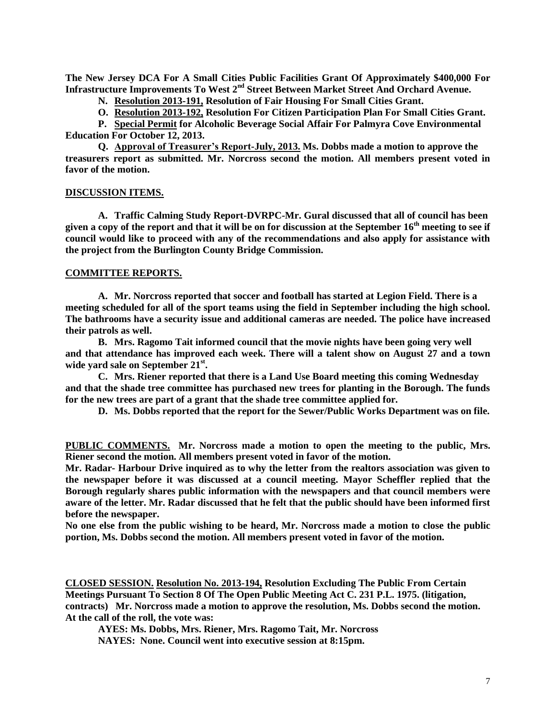**The New Jersey DCA For A Small Cities Public Facilities Grant Of Approximately \$400,000 For Infrastructure Improvements To West 2nd Street Between Market Street And Orchard Avenue.**

**N. Resolution 2013-191, Resolution of Fair Housing For Small Cities Grant.**

**O. Resolution 2013-192, Resolution For Citizen Participation Plan For Small Cities Grant.** 

**P. Special Permit for Alcoholic Beverage Social Affair For Palmyra Cove Environmental Education For October 12, 2013.** 

**Q. Approval of Treasurer's Report-July, 2013. Ms. Dobbs made a motion to approve the treasurers report as submitted. Mr. Norcross second the motion. All members present voted in favor of the motion.** 

#### **DISCUSSION ITEMS.**

**A. Traffic Calming Study Report-DVRPC-Mr. Gural discussed that all of council has been given a copy of the report and that it will be on for discussion at the September 16th meeting to see if council would like to proceed with any of the recommendations and also apply for assistance with the project from the Burlington County Bridge Commission.**

# **COMMITTEE REPORTS.**

**A. Mr. Norcross reported that soccer and football has started at Legion Field. There is a meeting scheduled for all of the sport teams using the field in September including the high school. The bathrooms have a security issue and additional cameras are needed. The police have increased their patrols as well.** 

**B. Mrs. Ragomo Tait informed council that the movie nights have been going very well and that attendance has improved each week. There will a talent show on August 27 and a town wide yard sale on September 21st .** 

**C. Mrs. Riener reported that there is a Land Use Board meeting this coming Wednesday and that the shade tree committee has purchased new trees for planting in the Borough. The funds for the new trees are part of a grant that the shade tree committee applied for.** 

**D. Ms. Dobbs reported that the report for the Sewer/Public Works Department was on file.**

**PUBLIC COMMENTS. Mr. Norcross made a motion to open the meeting to the public, Mrs. Riener second the motion. All members present voted in favor of the motion.**

**Mr. Radar- Harbour Drive inquired as to why the letter from the realtors association was given to the newspaper before it was discussed at a council meeting. Mayor Scheffler replied that the Borough regularly shares public information with the newspapers and that council members were aware of the letter. Mr. Radar discussed that he felt that the public should have been informed first before the newspaper.** 

**No one else from the public wishing to be heard, Mr. Norcross made a motion to close the public portion, Ms. Dobbs second the motion. All members present voted in favor of the motion.** 

**CLOSED SESSION. Resolution No. 2013-194, Resolution Excluding The Public From Certain Meetings Pursuant To Section 8 Of The Open Public Meeting Act C. 231 P.L. 1975. (litigation, contracts) Mr. Norcross made a motion to approve the resolution, Ms. Dobbs second the motion. At the call of the roll, the vote was:**

**AYES: Ms. Dobbs, Mrs. Riener, Mrs. Ragomo Tait, Mr. Norcross**

**NAYES: None. Council went into executive session at 8:15pm.**